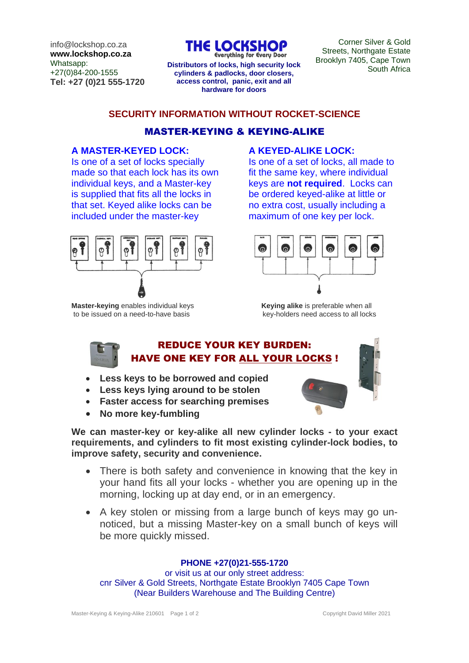info@lockshop.co.za **www.lockshop.co.za** Whatsapp: +27(0)84-200-1555 **Tel: +27 (0)21 555-1720** THE LOCKSH

**Everything for Every Door Distributors of locks, high security lock** Divokiyii 7400, Cape Town **cylinders & padlocks, door closers, access control, panic, exit and all hardware for doors**

Corner Silver & Gold Streets, Northgate Estate Brooklyn 7405, Cape Town

## **SECURITY INFORMATION WITHOUT ROCKET-SCIENCE**

# MASTER-KEYING & KEYING-ALIKE

## **A MASTER-KEYED LOCK:**

Is one of a set of locks specially made so that each lock has its own individual keys, and a Master-key is supplied that fits all the locks in that set. Keyed alike locks can be included under the master-key



**Master-keying** enables individual keys **Keying alike** is preferable when all to be issued on a need-to-have basis **Key-holders** heed access to all locks to be issued on a need-to-have basis

# **A KEYED-ALIKE LOCK:**

Is one of a set of locks, all made to fit the same key, where individual keys are **not required**. Locks can be ordered keyed-alike at little or no extra cost, usually including a maximum of one key per lock.



# REDUCE YOUR KEY BURDEN: HAVE ONE KEY FOR ALL YOUR LOCKS !

- **Less keys to be borrowed and copied**
- **Less keys lying around to be stolen**
- **Faster access for searching premises**
- **No more key-fumbling**

**We can master-key or key-alike all new cylinder locks - to your exact requirements, and cylinders to fit most existing cylinder-lock bodies, to improve safety, security and convenience.** 

- There is both safety and convenience in knowing that the key in your hand fits all your locks - whether you are opening up in the morning, locking up at day end, or in an emergency.
- A key stolen or missing from a large bunch of keys may go unnoticed, but a missing Master-key on a small bunch of keys will be more quickly missed.

### **PHONE +27(0)21-555-1720**

or visit us at our only street address: cnr Silver & Gold Streets, Northgate Estate Brooklyn 7405 Cape Town (Near Builders Warehouse and The Building Centre)